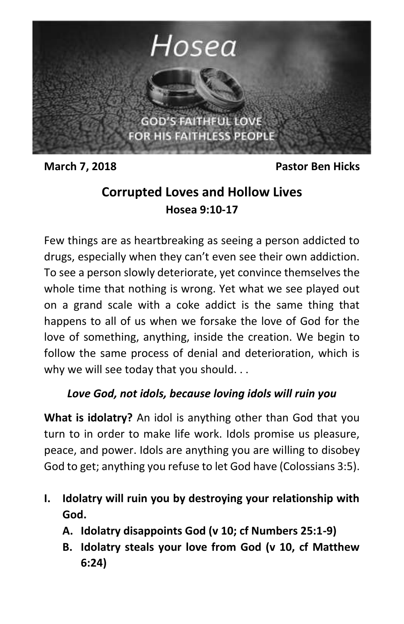

**March 7, 2018** Pastor Ben Hicks

## **Corrupted Loves and Hollow Lives Hosea 9:10-17**

Few things are as heartbreaking as seeing a person addicted to drugs, especially when they can't even see their own addiction. To see a person slowly deteriorate, yet convince themselves the whole time that nothing is wrong. Yet what we see played out on a grand scale with a coke addict is the same thing that happens to all of us when we forsake the love of God for the love of something, anything, inside the creation. We begin to follow the same process of denial and deterioration, which is why we will see today that you should...

## *Love God, not idols, because loving idols will ruin you*

**What is idolatry?** An idol is anything other than God that you turn to in order to make life work. Idols promise us pleasure, peace, and power. Idols are anything you are willing to disobey God to get; anything you refuse to let God have (Colossians 3:5).

- **I. Idolatry will ruin you by destroying your relationship with God.**
	- **A. Idolatry disappoints God (v 10; cf Numbers 25:1-9)**
	- **B. Idolatry steals your love from God (v 10, cf Matthew 6:24)**